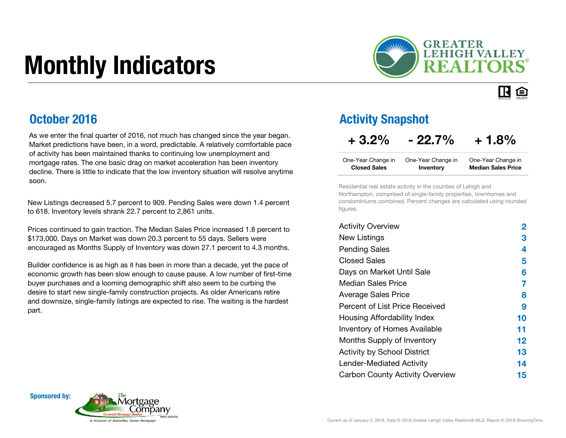# Monthly Indicators



### 旧白

### October 2016

As we enter the final quarter of 2016, not much has changed since the year began. Market predictions have been, in a word, predictable. A relatively comfortable pace of activity has been maintained thanks to continuing low unemployment and mortgage rates. The one basic drag on market acceleration has been inventory decline. There is little to indicate that the low inventory situation will resolve anytime soon.

New Listings decreased 5.7 percent to 909. Pending Sales were down 1.4 percent to 618. Inventory levels shrank 22.7 percent to 2,861 units.

Prices continued to gain traction. The Median Sales Price increased 1.8 percent to \$173,000. Days on Market was down 20.3 percent to 55 days. Sellers were encouraged as Months Supply of Inventory was down 27.1 percent to 4.3 months.

Builder confidence is as high as it has been in more than a decade, yet the pace of economic growth has been slow enough to cause pause. A low number of first-time buyer purchases and a looming demographic shift also seem to be curbing the desire to start new single-family construction projects. As older Americans retire and downsize, single-family listings are expected to rise. The waiting is the hardest part.Percent of List Price Received

#### Activity Snapshot

#### $+3.2\% -22.7\% +1.8\%$

| One-Year Change in  | One-Year Change in | One-Year Change in        |
|---------------------|--------------------|---------------------------|
| <b>Closed Sales</b> | Inventory          | <b>Median Sales Price</b> |

Residential real estate activity in the counties of Lehigh and Northampton, comprised of single-family properties, townhomes and condominiums combined. Percent changes are calculated using rounded figures.

| <b>Activity Overview</b>               | 2       |
|----------------------------------------|---------|
| <b>New Listings</b>                    | З       |
| <b>Pending Sales</b>                   | 4       |
| <b>Closed Sales</b>                    | 5       |
| Days on Market Until Sale              | 6       |
| Median Sales Price                     | 7       |
| <b>Average Sales Price</b>             | 8       |
| Percent of List Price Received         | 9       |
| Housing Affordability Index            | 10      |
| <b>Inventory of Homes Available</b>    | 11      |
| Months Supply of Inventory             | $12 \,$ |
| <b>Activity by School District</b>     | 13      |
| <b>Lender-Mediated Activity</b>        | 14      |
| <b>Carbon County Activity Overview</b> | 15      |

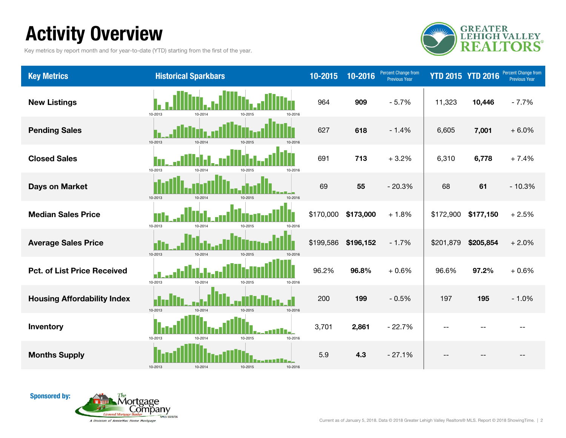### Activity Overview

Key metrics by report month and for year-to-date (YTD) starting from the first of the year.



| <b>Key Metrics</b>                 | <b>Historical Sparkbars</b>              | 10-2015   | 10-2016   | Percent Change from<br>Previous Year | <b>YTD 2015 YTD 2016</b> |           | Percent Change from<br><b>Previous Year</b> |
|------------------------------------|------------------------------------------|-----------|-----------|--------------------------------------|--------------------------|-----------|---------------------------------------------|
| <b>New Listings</b>                | 10-2013<br>10-2016<br>10-2014<br>10-2015 | 964       | 909       | $-5.7%$                              | 11,323                   | 10,446    | $-7.7%$                                     |
| <b>Pending Sales</b>               | 10-2013<br>10-2014<br>10-2015<br>10-2016 | 627       | 618       | $-1.4%$                              | 6,605                    | 7,001     | $+6.0%$                                     |
| <b>Closed Sales</b>                | 10-2013<br>10-2014<br>10-2016<br>10-2015 | 691       | 713       | $+3.2%$                              | 6,310                    | 6,778     | $+7.4%$                                     |
| <b>Days on Market</b>              | 10-2013<br>10-2014<br>10-2015<br>10-2016 | 69        | 55        | $-20.3%$                             | 68                       | 61        | $-10.3%$                                    |
| <b>Median Sales Price</b>          | 10-2013<br>10-2014<br>10-2015<br>10-2016 | \$170,000 | \$173,000 | $+1.8%$                              | \$172,900                | \$177,150 | $+2.5%$                                     |
| <b>Average Sales Price</b>         | 10-2013<br>10-2014<br>10-2015<br>10-2016 | \$199,586 | \$196,152 | $-1.7%$                              | \$201,879                | \$205,854 | $+2.0%$                                     |
| <b>Pct. of List Price Received</b> | 10-2013<br>10-2014<br>10-2015<br>10-2016 | 96.2%     | 96.8%     | $+0.6%$                              | 96.6%                    | 97.2%     | $+0.6%$                                     |
| <b>Housing Affordability Index</b> | 10-2013<br>10-2014<br>10-2015<br>10-2016 | 200       | 199       | $-0.5%$                              | 197                      | 195       | $-1.0%$                                     |
| Inventory                          | 10-2013<br>10-2015<br>10-2016<br>10-2014 | 3,701     | 2,861     | $-22.7%$                             | $-$                      |           |                                             |
| <b>Months Supply</b>               | 10-2013<br>10-2014<br>10-2015<br>10-2016 | 5.9       | 4.3       | $-27.1%$                             |                          |           |                                             |

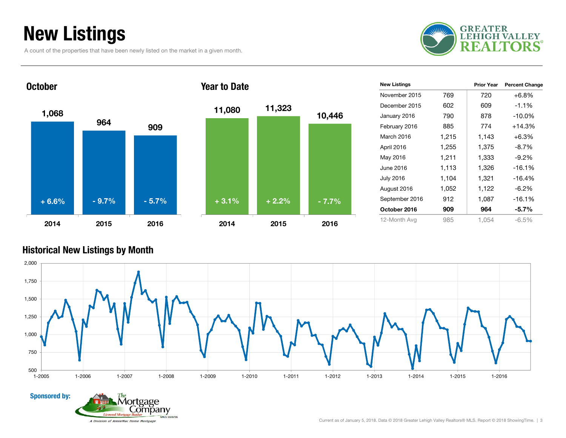### New Listings

**October** 

A count of the properties that have been newly listed on the market in a given month.







| <b>New Listings</b> |       | <b>Prior Year</b> | <b>Percent Change</b> |
|---------------------|-------|-------------------|-----------------------|
| November 2015       | 769   | 720               | $+6.8%$               |
| December 2015       | 602   | 609               | $-1.1%$               |
| January 2016        | 790   | 878               | $-10.0\%$             |
| February 2016       | 885   | 774               | $+14.3%$              |
| March 2016          | 1,215 | 1,143             | $+6.3\%$              |
| April 2016          | 1,255 | 1,375             | $-8.7%$               |
| May 2016            | 1,211 | 1,333             | $-9.2%$               |
| June 2016           | 1,113 | 1,326             | $-16.1%$              |
| <b>July 2016</b>    | 1,104 | 1,321             | -16.4%                |
| August 2016         | 1,052 | 1,122             | $-6.2%$               |
| September 2016      | 912   | 1,087             | $-16.1%$              |
| October 2016        | 909   | 964               | $-5.7\%$              |
| 12-Month Avg        | 985   | 1.054             | $-6.5%$               |

#### Historical New Listings by Month



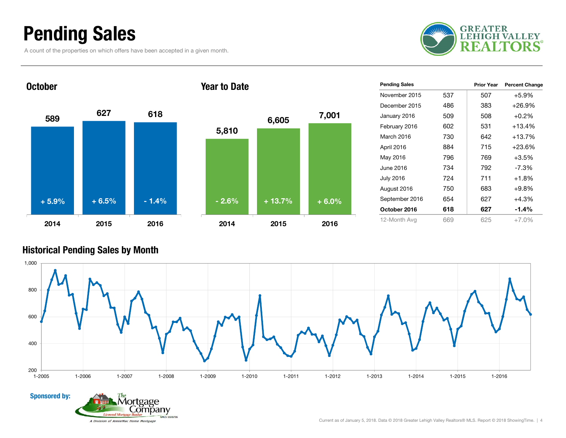### Pending Sales

A count of the properties on which offers have been accepted in a given month.



#### 5899 <sup>627</sup> 618 2014 2015 2016**October** 5,810 6,605 7,001 2014 2015 2016Year to Date+ 5.9% $+ 6.5\%$  - 1.4% - 2.6% + 13.7% + 6.0%

| <b>Pending Sales</b> |     | <b>Prior Year</b> | <b>Percent Change</b> |
|----------------------|-----|-------------------|-----------------------|
| November 2015        | 537 | 507               | $+5.9%$               |
| December 2015        | 486 | 383               | +26.9%                |
| January 2016         | 509 | 508               | $+0.2%$               |
| February 2016        | 602 | 531               | $+13.4%$              |
| March 2016           | 730 | 642               | +13.7%                |
| April 2016           | 884 | 715               | +23.6%                |
| May 2016             | 796 | 769               | $+3.5%$               |
| June 2016            | 734 | 792               | $-7.3\%$              |
| <b>July 2016</b>     | 724 | 711               | $+1.8%$               |
| August 2016          | 750 | 683               | $+9.8%$               |
| September 2016       | 654 | 627               | $+4.3%$               |
| October 2016         | 618 | 627               | $-1.4%$               |
| 12-Month Avg         | 669 | 625               | $+7.0%$               |

#### Historical Pending Sales by Month



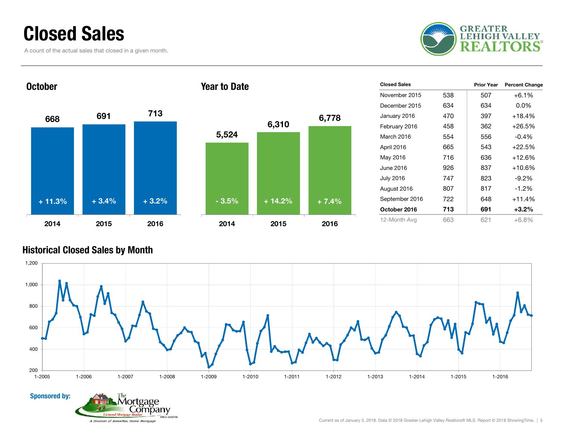### Closed Sales

A count of the actual sales that closed in a given month.





| <b>Closed Sales</b> |     | <b>Prior Year</b> | <b>Percent Change</b> |
|---------------------|-----|-------------------|-----------------------|
| November 2015       | 538 | 507               | $+6.1%$               |
| December 2015       | 634 | 634               | $0.0\%$               |
| January 2016        | 470 | 397               | $+18.4%$              |
| February 2016       | 458 | 362               | $+26.5%$              |
| March 2016          | 554 | 556               | -0.4%                 |
| April 2016          | 665 | 543               | $+22.5%$              |
| May 2016            | 716 | 636               | $+12.6%$              |
| June 2016           | 926 | 837               | $+10.6%$              |
| <b>July 2016</b>    | 747 | 823               | -9.2%                 |
| August 2016         | 807 | 817               | $-1.2\%$              |
| September 2016      | 722 | 648               | $+11.4%$              |
| October 2016        | 713 | 691               | $+3.2\%$              |
| 12-Month Avg        | 663 | 621               | $+6.8\%$              |

#### Historical Closed Sales by Month

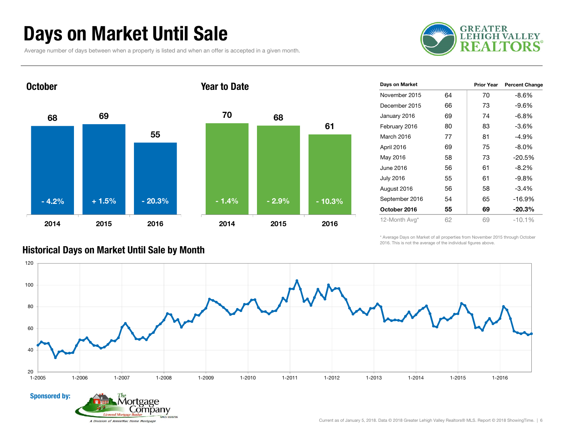### Days on Market Until Sale

Average number of days between when a property is listed and when an offer is accepted in a given month.





| Days on Market   |    | <b>Prior Year</b> | <b>Percent Change</b> |
|------------------|----|-------------------|-----------------------|
| November 2015    | 64 | 70                | -8.6%                 |
| December 2015    | 66 | 73                | -9.6%                 |
| January 2016     | 69 | 74                | -6.8%                 |
| February 2016    | 80 | 83                | $-3.6%$               |
| March 2016       | 77 | 81                | -4.9%                 |
| April 2016       | 69 | 75                | -8.0%                 |
| May 2016         | 58 | 73                | $-20.5%$              |
| June 2016        | 56 | 61                | $-8.2\%$              |
| <b>July 2016</b> | 55 | 61                | -9.8%                 |
| August 2016      | 56 | 58                | $-3.4%$               |
| September 2016   | 54 | 65                | $-16.9%$              |
| October 2016     | 55 | 69                | $-20.3%$              |
| 12-Month Avg*    | 62 | 69                | $-10.1%$              |

\* Average Days on Market of all properties from November 2015 through October 2016. This is not the average of the individual figures above.



#### Historical Days on Market Until Sale by Month

Lompany

A Division of AnnieMac Home Mortgage

**NMLS 1020736** 

Sponsored by:

Current as of January 5, 2018. Data © 2018 Greater Lehigh Valley Realtors® MLS. Report © 2018 ShowingTime. | 6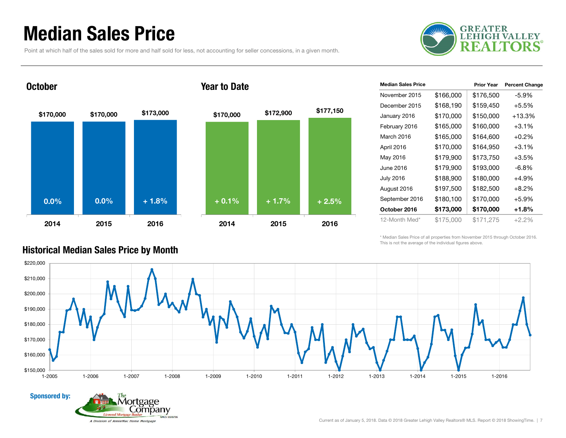### Median Sales Price

Point at which half of the sales sold for more and half sold for less, not accounting for seller concessions, in a given month.



### \$170,000 \$170,000 \$173,000 2014 2015 2016**October** \$170,000 \$172,900 \$177,150 2014 2015 2016Year to Date0.0% $\%$  0.0% + 1.8% + 0.1% + 1.7% + 2.5%

age ompany

A Division of AnnieMac Home Mortgage

**NMLS 1020736** 

| <b>Median Sales Price</b> |           | <b>Prior Year</b> | <b>Percent Change</b> |
|---------------------------|-----------|-------------------|-----------------------|
| November 2015             | \$166,000 | \$176,500         | -5.9%                 |
| December 2015             | \$168,190 | \$159,450         | $+5.5%$               |
| January 2016              | \$170,000 | \$150,000         | $+13.3%$              |
| February 2016             | \$165,000 | \$160,000         | $+3.1\%$              |
| March 2016                | \$165,000 | \$164,600         | $+0.2\%$              |
| April 2016                | \$170,000 | \$164,950         | $+3.1%$               |
| May 2016                  | \$179,900 | \$173,750         | $+3.5%$               |
| June 2016                 | \$179,900 | \$193,000         | $-6.8\%$              |
| <b>July 2016</b>          | \$188,900 | \$180,000         | +4.9%                 |
| August 2016               | \$197,500 | \$182,500         | $+8.2\%$              |
| September 2016            | \$180,100 | \$170,000         | $+5.9%$               |
| October 2016              | \$173,000 | \$170,000         | +1.8%                 |
| 12-Month Med*             | \$175,000 | \$171,275         | $+2.2%$               |

\* Median Sales Price of all properties from November 2015 through October 2016. This is not the average of the individual figures above.



#### Historical Median Sales Price by Month

Sponsored by:

Current as of January 5, 2018. Data © 2018 Greater Lehigh Valley Realtors® MLS. Report © 2018 ShowingTime. | 7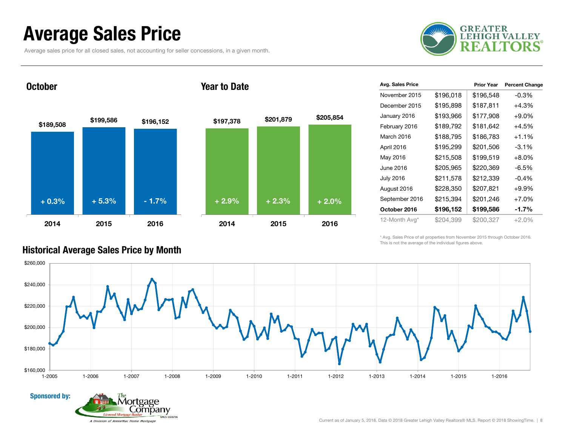### Average Sales Price

Average sales price for all closed sales, not accounting for seller concessions, in a given month.

tgage Lompany

A Division of AnnieMac Home Mortgage

NMLS 1020736



**October** 

Sponsored by:





| Avg. Sales Price |           | <b>Prior Year</b> | <b>Percent Change</b> |
|------------------|-----------|-------------------|-----------------------|
| November 2015    | \$196,018 | \$196,548         | $-0.3%$               |
| December 2015    | \$195,898 | \$187,811         | $+4.3%$               |
| January 2016     | \$193,966 | \$177,908         | $+9.0\%$              |
| February 2016    | \$189,792 | \$181,642         | $+4.5%$               |
| March 2016       | \$188,795 | \$186,783         | $+1.1\%$              |
| April 2016       | \$195,299 | \$201,506         | $-3.1\%$              |
| May 2016         | \$215,508 | \$199,519         | $+8.0%$               |
| June 2016        | \$205,965 | \$220,369         | $-6.5%$               |
| <b>July 2016</b> | \$211,578 | \$212,339         | $-0.4%$               |
| August 2016      | \$228,350 | \$207,821         | $+9.9%$               |
| September 2016   | \$215,394 | \$201,246         | $+7.0%$               |
| October 2016     | \$196,152 | \$199,586         | $-1.7\%$              |
| 12-Month Avg*    | \$204,399 | \$200,327         | $+2.0%$               |

\* Avg. Sales Price of all properties from November 2015 through October 2016. This is not the average of the individual figures above.



#### Historical Average Sales Price by Month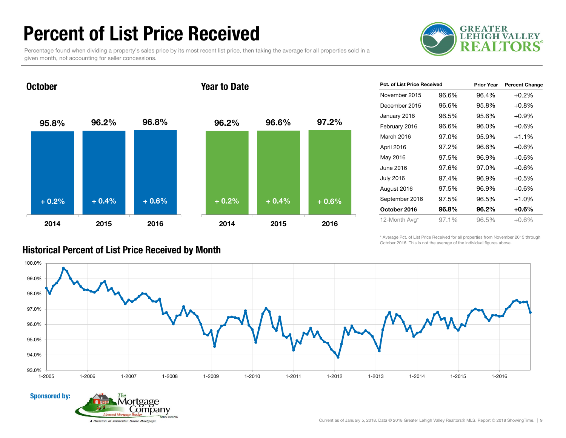### Percent of List Price Received

Percentage found when dividing a property's sales price by its most recent list price, then taking the average for all properties sold in a given month, not accounting for seller concessions.



October

#### Year to Date



| Pct. of List Price Received |       | <b>Prior Year</b> | <b>Percent Change</b> |
|-----------------------------|-------|-------------------|-----------------------|
| November 2015               | 96.6% | 96.4%             | $+0.2%$               |
| December 2015               | 96.6% | 95.8%             | $+0.8%$               |
| January 2016                | 96.5% | 95.6%             | $+0.9%$               |
| February 2016               | 96.6% | 96.0%             | $+0.6%$               |
| March 2016                  | 97.0% | 95.9%             | $+1.1%$               |
| April 2016                  | 97.2% | 96.6%             | $+0.6%$               |
| May 2016                    | 97.5% | 96.9%             | $+0.6%$               |
| June 2016                   | 97.6% | 97.0%             | $+0.6%$               |
| July 2016                   | 97.4% | 96.9%             | $+0.5%$               |
| August 2016                 | 97.5% | 96.9%             | $+0.6%$               |
| September 2016              | 97.5% | 96.5%             | $+1.0%$               |
| October 2016                | 96.8% | 96.2%             | $+0.6\%$              |
| 12-Month Avg*               | 97.1% | 96.5%             | $+0.6%$               |

\* Average Pct. of List Price Received for all properties from November 2015 through October 2016. This is not the average of the individual figures above.





#### Current as of January 5, 2018. Data © 2018 Greater Lehigh Valley Realtors® MLS. Report © 2018 ShowingTime. | 9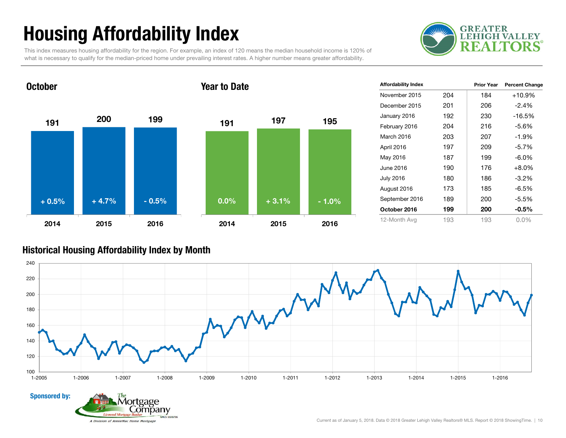## Housing Affordability Index

**GREATER LEHIGH VALLEY** F.

This index measures housing affordability for the region. For example, an index of 120 means the median household income is 120% of what is necessary to qualify for the median-priced home under prevailing interest rates. A higher number means greater affordability.



**NMLS 1020736** 

| <b>Affordability Index</b> |     | <b>Prior Year</b> | <b>Percent Change</b> |
|----------------------------|-----|-------------------|-----------------------|
| November 2015              | 204 | 184               | $+10.9%$              |
| December 2015              | 201 | 206               | $-2.4\%$              |
| January 2016               | 192 | 230               | $-16.5\%$             |
| February 2016              | 204 | 216               | $-5.6\%$              |
| March 2016                 | 203 | 207               | $-1.9%$               |
| April 2016                 | 197 | 209               | $-5.7%$               |
| May 2016                   | 187 | 199               | $-6.0\%$              |
| June 2016                  | 190 | 176               | $+8.0\%$              |
| <b>July 2016</b>           | 180 | 186               | -3.2%                 |
| August 2016                | 173 | 185               | $-6.5%$               |
| September 2016             | 189 | 200               | $-5.5%$               |
| October 2016               | 199 | 200               | $-0.5%$               |
| 12-Month Avg               | 193 | 193               | $0.0\%$               |

#### Historical Housing Affordability Index by Mont h

A Division of AnnieMac Home Mortgage

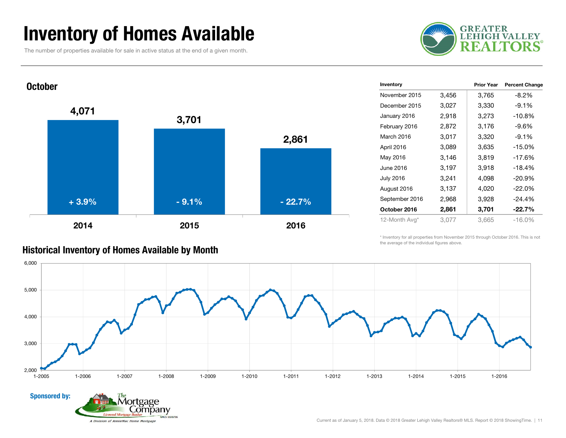### Inventory of Homes Available

The number of properties available for sale in active status at the end of a given month.





| Historical Inventory of Homes Available by Month |  |  |  |
|--------------------------------------------------|--|--|--|
|--------------------------------------------------|--|--|--|

ompany

A Division of AnnieMac Home Mortgage

NMLS 1020736

| Inventory        |       | <b>Prior Year</b> | <b>Percent Change</b> |
|------------------|-------|-------------------|-----------------------|
| November 2015    | 3,456 | 3,765             | $-8.2%$               |
| December 2015    | 3,027 | 3,330             | $-9.1%$               |
| January 2016     | 2,918 | 3,273             | $-10.8%$              |
| February 2016    | 2,872 | 3,176             | $-9.6\%$              |
| March 2016       | 3,017 | 3,320             | $-9.1%$               |
| April 2016       | 3,089 | 3,635             | $-15.0%$              |
| May 2016         | 3,146 | 3,819             | $-17.6%$              |
| June 2016        | 3,197 | 3,918             | $-18.4%$              |
| <b>July 2016</b> | 3,241 | 4,098             | $-20.9%$              |
| August 2016      | 3,137 | 4,020             | $-22.0%$              |
| September 2016   | 2,968 | 3,928             | $-24.4%$              |
| October 2016     | 2,861 | 3,701             | $-22.7%$              |
| 12-Month Avg*    | 3,077 | 3,665             | $-16.0%$              |

\* Inventory for all properties from November 2015 through October 2016. This is not the average of the individual figures above.

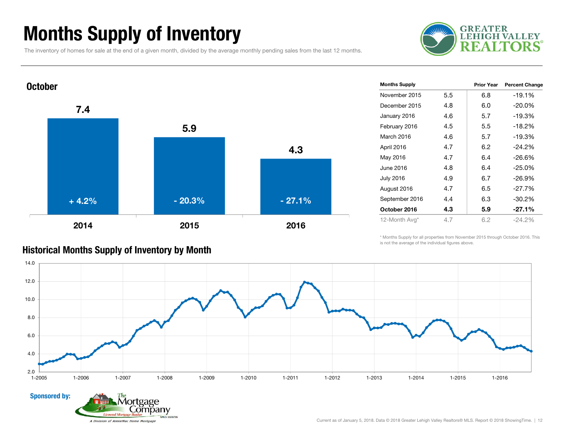### Months Supply of Inventory

The inventory of homes for sale at the end of a given month, divided by the average monthly pending sales from the last 12 months.





| <b>Months Supply</b> |     | Prior Year | <b>Percent Change</b> |
|----------------------|-----|------------|-----------------------|
| November 2015        | 5.5 | 6.8        | $-19.1%$              |
| December 2015        | 4.8 | 6.0        | $-20.0\%$             |
| January 2016         | 4.6 | 5.7        | $-19.3%$              |
| February 2016        | 4.5 | $5.5\,$    | $-18.2%$              |
| March 2016           | 4.6 | 5.7        | $-19.3%$              |
| April 2016           | 4.7 | 6.2        | $-24.2%$              |
| May 2016             | 4.7 | 6.4        | $-26.6%$              |
| June 2016            | 4.8 | 6.4        | $-25.0%$              |
| <b>July 2016</b>     | 4.9 | 6.7        | $-26.9%$              |
| August 2016          | 4.7 | 6.5        | $-27.7%$              |
| September 2016       | 4.4 | 6.3        | $-30.2%$              |
| October 2016         | 4.3 | 5.9        | $-27.1%$              |
| 12-Month Avg*        | 4.7 | 6.2        | -24.2%                |
|                      |     |            |                       |

#### \* Months Supply for all properties from November 2015 through October 2016. This is not the average of the individual figures above.



Historical Months Supply of Inventory by Month

Lompany

A Division of AnnieMac Home Mortgage

NMLS 1020736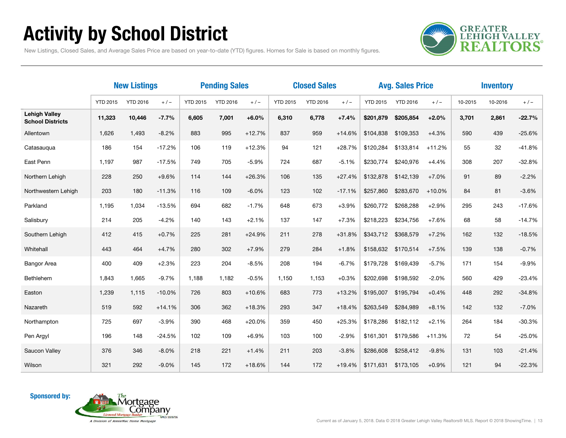## Activity by School District

**GREATER<br>LEHIGH VALLEY REALTORS** 

New Listings, Closed Sales, and Average Sales Price are based on year-to-date (YTD) figures. Homes for Sale is based on monthly figures.

|                                                 | <b>New Listings</b> |                 |          | <b>Pending Sales</b> |                 |          | <b>Closed Sales</b> |                 |          |                 | <b>Avg. Sales Price</b> |          | <b>Inventory</b> |         |          |
|-------------------------------------------------|---------------------|-----------------|----------|----------------------|-----------------|----------|---------------------|-----------------|----------|-----------------|-------------------------|----------|------------------|---------|----------|
|                                                 | <b>YTD 2015</b>     | <b>YTD 2016</b> | $+/-$    | <b>YTD 2015</b>      | <b>YTD 2016</b> | $+/-$    | <b>YTD 2015</b>     | <b>YTD 2016</b> | $+/-$    | <b>YTD 2015</b> | <b>YTD 2016</b>         | $+/-$    | 10-2015          | 10-2016 | $+/-$    |
| <b>Lehigh Valley</b><br><b>School Districts</b> | 11,323              | 10,446          | $-7.7%$  | 6,605                | 7,001           | $+6.0%$  | 6,310               | 6,778           | $+7.4%$  | \$201,879       | \$205,854               | $+2.0%$  | 3,701            | 2,861   | $-22.7%$ |
| Allentown                                       | 1,626               | 1,493           | $-8.2%$  | 883                  | 995             | $+12.7%$ | 837                 | 959             | $+14.6%$ | \$104,838       | \$109,353               | $+4.3%$  | 590              | 439     | $-25.6%$ |
| Catasauqua                                      | 186                 | 154             | $-17.2%$ | 106                  | 119             | $+12.3%$ | 94                  | 121             | $+28.7%$ | \$120,284       | \$133,814               | $+11.2%$ | 55               | 32      | $-41.8%$ |
| East Penn                                       | 1,197               | 987             | $-17.5%$ | 749                  | 705             | $-5.9%$  | 724                 | 687             | $-5.1%$  | \$230,774       | \$240,976               | $+4.4%$  | 308              | 207     | $-32.8%$ |
| Northern Lehigh                                 | 228                 | 250             | $+9.6%$  | 114                  | 144             | $+26.3%$ | 106                 | 135             | $+27.4%$ | \$132,878       | \$142,139               | $+7.0%$  | 91               | 89      | $-2.2%$  |
| Northwestern Lehigh                             | 203                 | 180             | $-11.3%$ | 116                  | 109             | $-6.0%$  | 123                 | 102             | $-17.1%$ | \$257,860       | \$283,670               | $+10.0%$ | 84               | 81      | $-3.6%$  |
| Parkland                                        | 1,195               | 1,034           | $-13.5%$ | 694                  | 682             | $-1.7%$  | 648                 | 673             | $+3.9%$  | \$260.772       | \$268,288               | $+2.9%$  | 295              | 243     | $-17.6%$ |
| Salisbury                                       | 214                 | 205             | $-4.2%$  | 140                  | 143             | $+2.1%$  | 137                 | 147             | $+7.3%$  | \$218,223       | \$234,756               | $+7.6%$  | 68               | 58      | $-14.7%$ |
| Southern Lehigh                                 | 412                 | 415             | $+0.7%$  | 225                  | 281             | $+24.9%$ | 211                 | 278             | $+31.8%$ | \$343,712       | \$368,579               | $+7.2%$  | 162              | 132     | $-18.5%$ |
| Whitehall                                       | 443                 | 464             | $+4.7%$  | 280                  | 302             | $+7.9%$  | 279                 | 284             | $+1.8%$  | \$158,632       | \$170,514               | $+7.5%$  | 139              | 138     | $-0.7%$  |
| <b>Bangor Area</b>                              | 400                 | 409             | $+2.3%$  | 223                  | 204             | $-8.5%$  | 208                 | 194             | $-6.7%$  | \$179,728       | \$169,439               | $-5.7%$  | 171              | 154     | $-9.9%$  |
| Bethlehem                                       | 1,843               | 1,665           | $-9.7%$  | 1,188                | 1,182           | $-0.5%$  | 1,150               | 1,153           | $+0.3%$  | \$202,698       | \$198,592               | $-2.0%$  | 560              | 429     | $-23.4%$ |
| Easton                                          | 1,239               | 1,115           | $-10.0%$ | 726                  | 803             | $+10.6%$ | 683                 | 773             | $+13.2%$ | \$195,007       | \$195,794               | $+0.4%$  | 448              | 292     | $-34.8%$ |
| Nazareth                                        | 519                 | 592             | $+14.1%$ | 306                  | 362             | $+18.3%$ | 293                 | 347             | $+18.4%$ | \$263,549       | \$284,989               | $+8.1%$  | 142              | 132     | $-7.0%$  |
| Northampton                                     | 725                 | 697             | $-3.9%$  | 390                  | 468             | $+20.0%$ | 359                 | 450             | $+25.3%$ | \$178,286       | \$182,112               | $+2.1%$  | 264              | 184     | $-30.3%$ |
| Pen Argyl                                       | 196                 | 148             | $-24.5%$ | 102                  | 109             | $+6.9%$  | 103                 | 100             | $-2.9%$  | \$161,301       | \$179,586               | $+11.3%$ | 72               | 54      | $-25.0%$ |
| Saucon Valley                                   | 376                 | 346             | $-8.0%$  | 218                  | 221             | $+1.4%$  | 211                 | 203             | $-3.8%$  | \$286,608       | \$258,412               | $-9.8%$  | 131              | 103     | $-21.4%$ |
| Wilson                                          | 321                 | 292             | $-9.0\%$ | 145                  | 172             | $+18.6%$ | 144                 | 172             | $+19.4%$ | \$171,631       | \$173,105               | $+0.9%$  | 121              | 94      | $-22.3%$ |

Sponsored by:

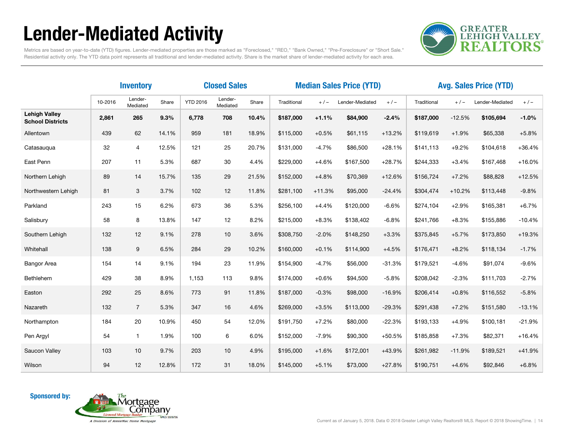## Lender-Mediated Activity



Metrics are based on year-to-date (YTD) figures. Lender-mediated properties are those marked as "Foreclosed," "REO," "Bank Owned," "Pre-Foreclosure" or "Short Sale." Residential activity only. The YTD data point represents all traditional and lender-mediated activity. Share is the market share of lender-mediated activity for each area.

|                                                 | <b>Closed Sales</b><br><b>Inventory</b> |                     |       |                 |                     |       | <b>Median Sales Price (YTD)</b> |          |                          |          |             | <b>Avg. Sales Price (YTD)</b> |                 |          |  |  |
|-------------------------------------------------|-----------------------------------------|---------------------|-------|-----------------|---------------------|-------|---------------------------------|----------|--------------------------|----------|-------------|-------------------------------|-----------------|----------|--|--|
|                                                 | 10-2016                                 | Lender-<br>Mediated | Share | <b>YTD 2016</b> | Lender-<br>Mediated | Share | Traditional                     | $+/-$    | $+/-$<br>Lender-Mediated |          | Traditional | $+/-$                         | Lender-Mediated | $+/-$    |  |  |
| <b>Lehigh Valley</b><br><b>School Districts</b> | 2,861                                   | 265                 | 9.3%  | 6,778           | 708                 | 10.4% | \$187,000                       | $+1.1%$  | \$84,900                 | $-2.4%$  | \$187,000   | $-12.5%$                      | \$105,694       | $-1.0%$  |  |  |
| Allentown                                       | 439                                     | 62                  | 14.1% | 959             | 181                 | 18.9% | \$115,000                       | $+0.5%$  | \$61,115                 | $+13.2%$ | \$119,619   | $+1.9%$                       | \$65,338        | $+5.8%$  |  |  |
| Catasauqua                                      | 32                                      | 4                   | 12.5% | 121             | 25                  | 20.7% | \$131,000                       | $-4.7%$  | \$86,500                 | $+28.1%$ | \$141,113   | $+9.2%$                       | \$104,618       | $+36.4%$ |  |  |
| East Penn                                       | 207                                     | 11                  | 5.3%  | 687             | 30                  | 4.4%  | \$229,000                       | $+4.6%$  | \$167,500                | $+28.7%$ | \$244,333   | $+3.4%$                       | \$167,468       | $+16.0%$ |  |  |
| Northern Lehigh                                 | 89                                      | 14                  | 15.7% | 135             | 29                  | 21.5% | \$152,000                       | $+4.8%$  | \$70,369                 | $+12.6%$ | \$156,724   | $+7.2%$                       | \$88,828        | $+12.5%$ |  |  |
| Northwestern Lehigh                             | 81                                      | 3                   | 3.7%  | 102             | 12                  | 11.8% | \$281,100                       | $+11.3%$ | \$95,000                 | $-24.4%$ | \$304,474   | $+10.2%$                      | \$113,448       | $-9.8%$  |  |  |
| Parkland                                        | 243                                     | 15                  | 6.2%  | 673             | 36                  | 5.3%  | \$256,100                       | $+4.4%$  | \$120,000                | $-6.6%$  | \$274.104   | $+2.9%$                       | \$165,381       | $+6.7%$  |  |  |
| Salisbury                                       | 58                                      | 8                   | 13.8% | 147             | 12                  | 8.2%  | \$215,000                       | $+8.3%$  | \$138,402                | $-6.8%$  | \$241,766   | $+8.3%$                       | \$155,886       | $-10.4%$ |  |  |
| Southern Lehigh                                 | 132                                     | 12                  | 9.1%  | 278             | 10                  | 3.6%  | \$308,750                       | $-2.0%$  | \$148,250                | $+3.3%$  | \$375,845   | $+5.7%$                       | \$173,850       | $+19.3%$ |  |  |
| Whitehall                                       | 138                                     | 9                   | 6.5%  | 284             | 29                  | 10.2% | \$160,000                       | $+0.1%$  | \$114,900                | $+4.5%$  | \$176,471   | $+8.2%$                       | \$118,134       | $-1.7%$  |  |  |
| <b>Bangor Area</b>                              | 154                                     | 14                  | 9.1%  | 194             | 23                  | 11.9% | \$154,900                       | $-4.7%$  | \$56,000                 | $-31.3%$ | \$179,521   | $-4.6%$                       | \$91,074        | $-9.6%$  |  |  |
| Bethlehem                                       | 429                                     | 38                  | 8.9%  | 1,153           | 113                 | 9.8%  | \$174,000                       | $+0.6%$  | \$94,500                 | $-5.8%$  | \$208,042   | $-2.3%$                       | \$111,703       | $-2.7%$  |  |  |
| Easton                                          | 292                                     | 25                  | 8.6%  | 773             | 91                  | 11.8% | \$187,000                       | $-0.3%$  | \$98,000                 | $-16.9%$ | \$206,414   | $+0.8%$                       | \$116,552       | $-5.8%$  |  |  |
| Nazareth                                        | 132                                     | $\overline{7}$      | 5.3%  | 347             | 16                  | 4.6%  | \$269,000                       | $+3.5%$  | \$113,000                | $-29.3%$ | \$291,438   | $+7.2%$                       | \$151,580       | $-13.1%$ |  |  |
| Northampton                                     | 184                                     | 20                  | 10.9% | 450             | 54                  | 12.0% | \$191,750                       | $+7.2%$  | \$80,000                 | $-22.3%$ | \$193,133   | $+4.9%$                       | \$100,181       | $-21.9%$ |  |  |
| Pen Argyl                                       | 54                                      | $\mathbf{1}$        | 1.9%  | 100             | 6                   | 6.0%  | \$152,000                       | $-7.9%$  | \$90,300                 | $+50.5%$ | \$185,858   | $+7.3%$                       | \$82,371        | $+16.4%$ |  |  |
| Saucon Valley                                   | 103                                     | 10                  | 9.7%  | 203             | 10                  | 4.9%  | \$195,000                       | $+1.6%$  | \$172,001                | $+43.9%$ | \$261,982   | $-11.9%$                      | \$189,521       | $+41.9%$ |  |  |
| Wilson                                          | 94                                      | 12                  | 12.8% | 172             | 31                  | 18.0% | \$145,000                       | $+5.1%$  | \$73,000                 | $+27.8%$ | \$190,751   | $+4.6%$                       | \$92,846        | $+6.8%$  |  |  |